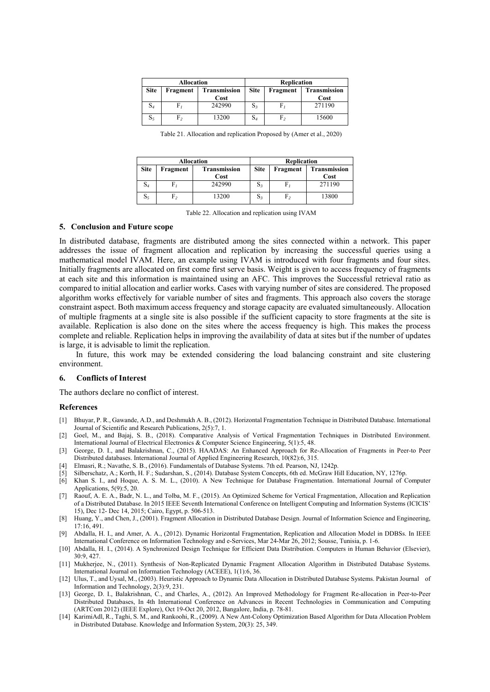| <b>Allocation</b> |          |                     | Replication |          |              |
|-------------------|----------|---------------------|-------------|----------|--------------|
| <b>Site</b>       | Fragment | <b>Transmission</b> | <b>Site</b> | Fragment | Transmission |
|                   |          | Cost                |             |          | Cost         |
| S4                |          | 242990              | $S_3$       | F        | 271190       |
| 55                | F2       | 13200               | $S_4$       | F2       | 15600        |

Table 21. Allocation and replication Proposed by (Amer et al., 2020)

| <b>Allocation</b> |          |                     | <b>Replication</b> |                |              |
|-------------------|----------|---------------------|--------------------|----------------|--------------|
| <b>Site</b>       | Fragment | <b>Transmission</b> | <b>Site</b>        | Fragment       | Transmission |
|                   |          | Cost                |                    |                | Cost         |
| $\mathrm{S}_4$    |          | 242990              | $S_{3}$            | F.             | 271190       |
| $S_5$             | F,       | 13200               | $S_3$              | F <sub>2</sub> | 13800        |

Table 22. Allocation and replication using IVAM

## **5. Conclusion and Future scope**

In distributed database, fragments are distributed among the sites connected within a network. This paper addresses the issue of fragment allocation and replication by increasing the successful queries using a mathematical model IVAM. Here, an example using IVAM is introduced with four fragments and four sites. Initially fragments are allocated on first come first serve basis. Weight is given to access frequency of fragments at each site and this information is maintained using an AFC. This improves the Successful retrieval ratio as compared to initial allocation and earlier works. Cases with varying number of sites are considered. The proposed algorithm works effectively for variable number of sites and fragments. This approach also covers the storage constraint aspect. Both maximum access frequency and storage capacity are evaluated simultaneously. Allocation of multiple fragments at a single site is also possible if the sufficient capacity to store fragments at the site is available. Replication is also done on the sites where the access frequency is high. This makes the process complete and reliable. Replication helps in improving the availability of data at sites but if the number of updates is large, it is advisable to limit the replication.

In future, this work may be extended considering the load balancing constraint and site clustering environment.

## **6. Conflicts of Interest**

The authors declare no conflict of interest.

## **References**

- [1] Bhuyar, P. R., Gawande, A.D., and Deshmukh A. B., (2012). Horizontal Fragmentation Technique in Distributed Database. International Journal of Scientific and Research Publications, 2(5):7, 1.
- [2] Goel, M., and Bajaj, S. B., (2018). Comparative Analysis of Vertical Fragmentation Techniques in Distributed Environment. International Journal of Electrical Electronics & Computer Science Engineering, 5(1):5, 48.
- [3] George, D. I., and Balakrishnan, C., (2015). HAADAS: An Enhanced Approach for Re-Allocation of Fragments in Peer-to Peer Distributed databases. International Journal of Applied Engineering Research, 10(82):6, 315.
- [4] Elmasri, R.; Navathe, S. B., (2016). Fundamentals of Database Systems. 7th ed. Pearson, NJ, 1242p.
- [5] Silberschatz, A.; Korth, H. F.; Sudarshan, S., (2014). Database System Concepts, 6th ed. McGraw Hill Education, NY, 1276p.
- [6] Khan S. I., and Hoque, A. S. M. L., (2010). A New Technique for Database Fragmentation. International Journal of Computer Applications, 5(9):5, 20.
- [7] Raouf, A. E. A., Badr, N. L., and Tolba, M. F., (2015). An Optimized Scheme for Vertical Fragmentation, Allocation and Replication of a Distributed Database. In 2015 IEEE Seventh International Conference on Intelligent Computing and Information Systems (ICICIS' 15), Dec 12- Dec 14, 2015; Cairo, Egypt, p. 506-513.
- [8] Huang, Y., and Chen, J., (2001). Fragment Allocation in Distributed Database Design. Journal of Information Science and Engineering, 17:16, 491.
- [9] Abdalla, H. I., and Amer, A. A., (2012). Dynamic Horizontal Fragmentation, Replication and Allocation Model in DDBSs. In IEEE International Conference on Information Technology and e-Services, Mar 24-Mar 26, 2012; Sousse, Tunisia, p. 1-6.
- [10] Abdalla, H. I., (2014). A Synchronized Design Technique for Efficient Data Distribution. Computers in Human Behavior (Elsevier), 30:9, 427.
- [11] Mukherjee, N., (2011). Synthesis of Non-Replicated Dynamic Fragment Allocation Algorithm in Distributed Database Systems. International Journal on Information Technology (ACEEE), 1(1):6, 36.
- [12] Ulus, T., and Uysal, M., (2003). Heuristic Approach to Dynamic Data Allocation in Distributed Database Systems. Pakistan Journal of Information and Technology, 2(3):9, 231.
- [13] George, D. I., Balakrishnan, C., and Charles, A., (2012). An Improved Methodology for Fragment Re-allocation in Peer-to-Peer Distributed Databases, In 4th International Conference on Advances in Recent Technologies in Communication and Computing (ARTCom 2012) (IEEE Explore), Oct 19-Oct 20, 2012, Bangalore, India, p. 78-81.
- [14] KarimiAdl, R., Taghi, S. M., and Rankoohi, R., (2009). A New Ant-Colony Optimization Based Algorithm for Data Allocation Problem in Distributed Database. Knowledge and Information System, 20(3): 25, 349.